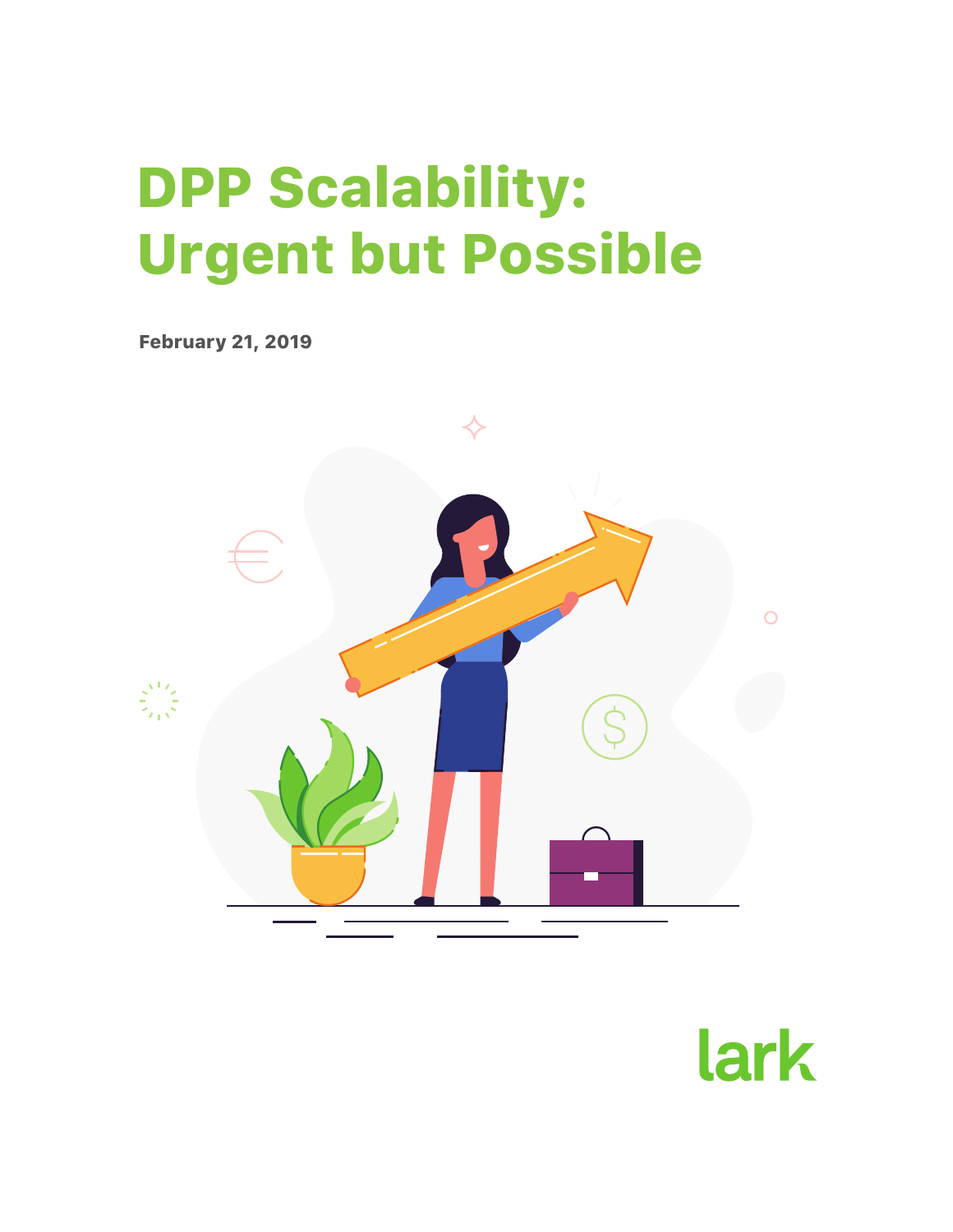# DPP Scalability: Urgent but Possible

February 21, 2019



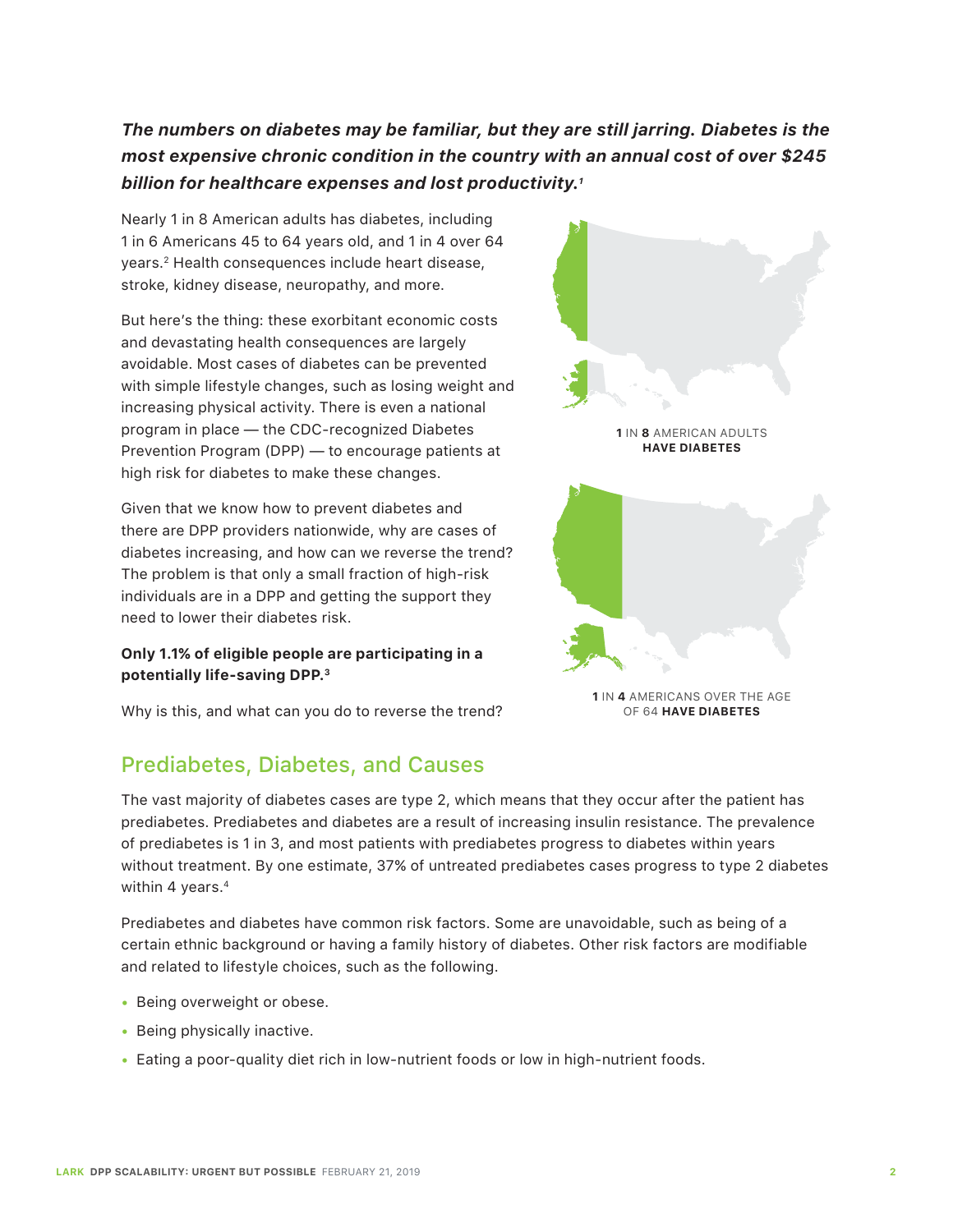## *The numbers on diabetes may be familiar, but they are still jarring. Diabetes is the most expensive chronic condition in the country with an annual cost of over \$245 billion for healthcare expenses and lost productivity.1*

Nearly 1 in 8 American adults has diabetes, including 1 in 6 Americans 45 to 64 years old, and 1 in 4 over 64 years.2 Health consequences include heart disease, stroke, kidney disease, neuropathy, and more.

But here's the thing: these exorbitant economic costs and devastating health consequences are largely avoidable. Most cases of diabetes can be prevented with simple lifestyle changes, such as losing weight and increasing physical activity. There is even a national program in place — the CDC-recognized Diabetes Prevention Program (DPP) — to encourage patients at high risk for diabetes to make these changes.

Given that we know how to prevent diabetes and there are DPP providers nationwide, why are cases of diabetes increasing, and how can we reverse the trend? The problem is that only a small fraction of high-risk individuals are in a DPP and getting the support they need to lower their diabetes risk.

#### **Only 1.1% of eligible people are participating in a potentially life-saving DPP.3**

Why is this, and what can you do to reverse the trend?

# Prediabetes, Diabetes, and Causes



Prediabetes and diabetes have common risk factors. Some are unavoidable, such as being of a certain ethnic background or having a family history of diabetes. Other risk factors are modifiable and related to lifestyle choices, such as the following.

- Being overweight or obese.
- Being physically inactive.
- Eating a poor-quality diet rich in low-nutrient foods or low in high-nutrient foods.



**1** IN **4** AMERICANS OVER THE AGE OF 64 **HAVE DIABETES**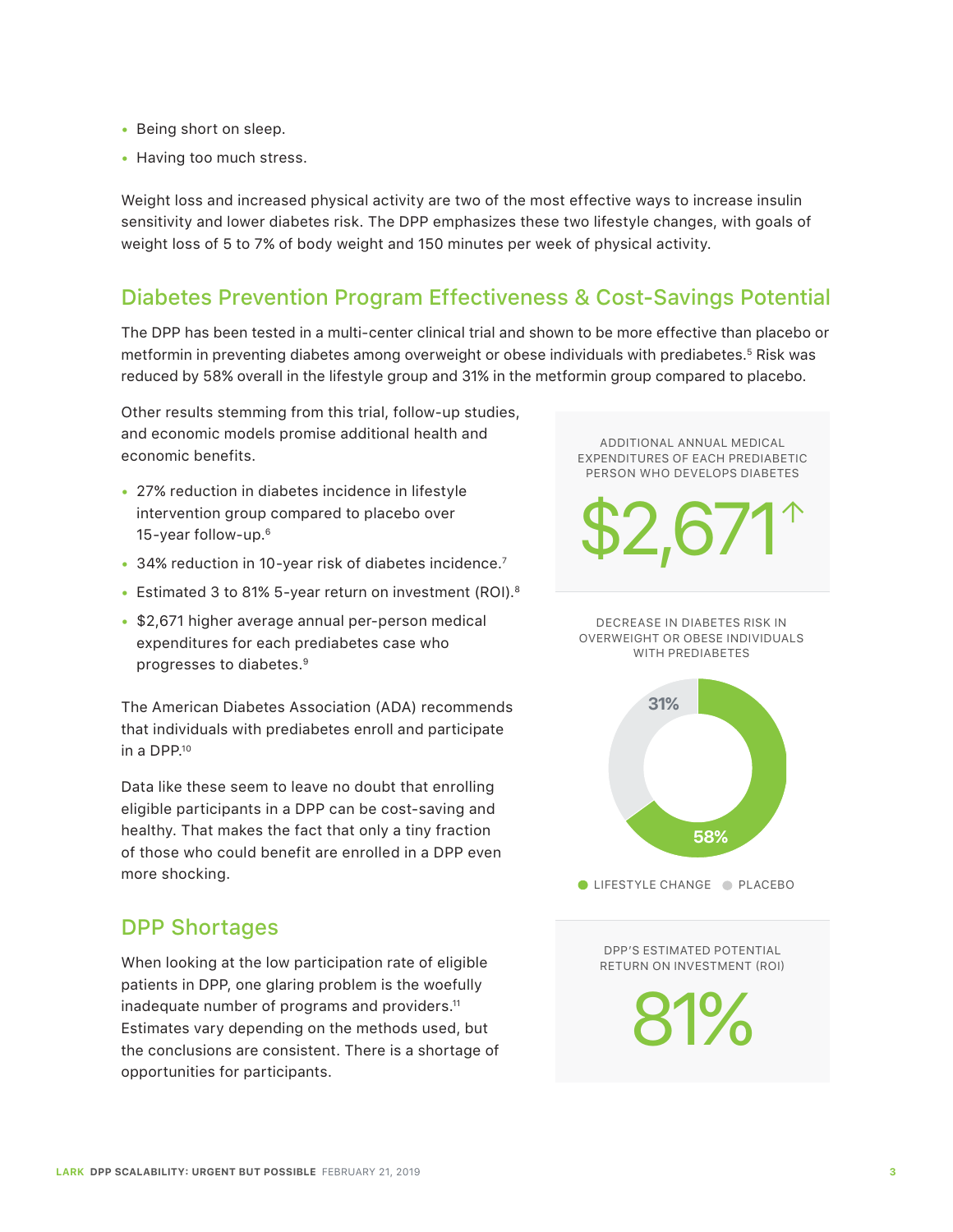- Being short on sleep.
- Having too much stress.

Weight loss and increased physical activity are two of the most effective ways to increase insulin sensitivity and lower diabetes risk. The DPP emphasizes these two lifestyle changes, with goals of weight loss of 5 to 7% of body weight and 150 minutes per week of physical activity.

# Diabetes Prevention Program Effectiveness & Cost-Savings Potential

The DPP has been tested in a multi-center clinical trial and shown to be more effective than placebo or metformin in preventing diabetes among overweight or obese individuals with prediabetes.<sup>5</sup> Risk was reduced by 58% overall in the lifestyle group and 31% in the metformin group compared to placebo.

Other results stemming from this trial, follow-up studies, and economic models promise additional health and economic benefits.

- 27% reduction in diabetes incidence in lifestyle intervention group compared to placebo over 15-year follow-up.6
- 34% reduction in 10-year risk of diabetes incidence.7
- Estimated 3 to 81% 5-year return on investment (ROI).<sup>8</sup>
- \$2,671 higher average annual per-person medical expenditures for each prediabetes case who progresses to diabetes.9

The American Diabetes Association (ADA) recommends that individuals with prediabetes enroll and participate in a DPP.10

Data like these seem to leave no doubt that enrolling eligible participants in a DPP can be cost-saving and healthy. That makes the fact that only a tiny fraction of those who could benefit are enrolled in a DPP even more shocking.

# DPP Shortages

When looking at the low participation rate of eligible patients in DPP, one glaring problem is the woefully inadequate number of programs and providers.<sup>11</sup> Estimates vary depending on the methods used, but the conclusions are consistent. There is a shortage of opportunities for participants.

ADDITIONAL ANNUAL MEDICAL EXPENDITURES OF EACH PREDIABETIC PERSON WHO DEVELOPS DIABETES

 $52,67$ 

DECREASE IN DIABETES RISK IN OVERWEIGHT OR OBESE INDIVIDUALS WITH PREDIABETES



 $\bullet$  LIFESTYLE CHANGE  $\bullet$  PLACEBO

DPP'S ESTIMATED POTENTIAL RETURN ON INVESTMENT (ROI)

81%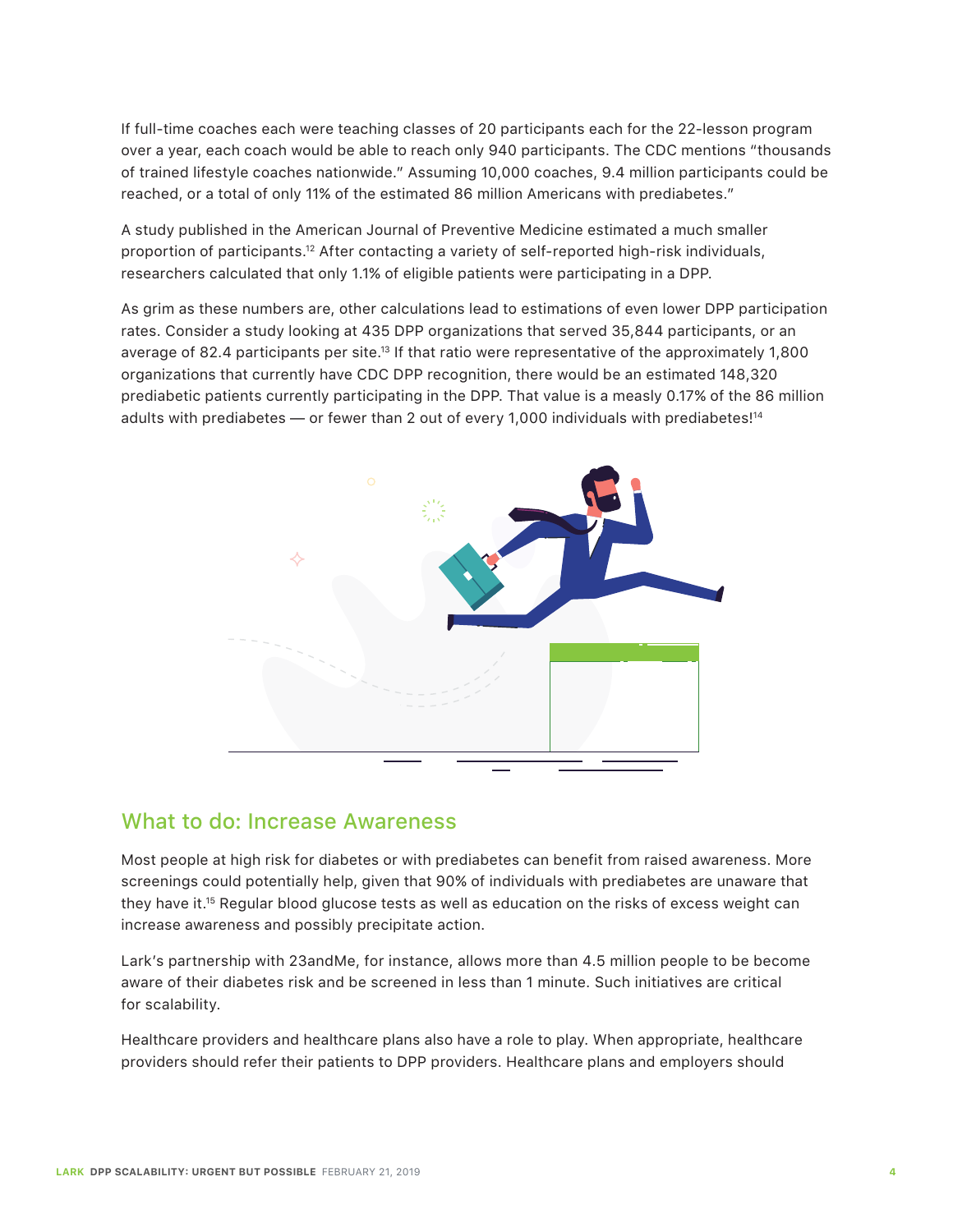If full-time coaches each were teaching classes of 20 participants each for the 22-lesson program over a year, each coach would be able to reach only 940 participants. The CDC mentions "thousands of trained lifestyle coaches nationwide." Assuming 10,000 coaches, 9.4 million participants could be reached, or a total of only 11% of the estimated 86 million Americans with prediabetes."

A study published in the American Journal of Preventive Medicine estimated a much smaller proportion of participants.12 After contacting a variety of self-reported high-risk individuals, researchers calculated that only 1.1% of eligible patients were participating in a DPP.

As grim as these numbers are, other calculations lead to estimations of even lower DPP participation rates. Consider a study looking at 435 DPP organizations that served 35,844 participants, or an average of 82.4 participants per site.<sup>13</sup> If that ratio were representative of the approximately 1,800 organizations that currently have CDC DPP recognition, there would be an estimated 148,320 prediabetic patients currently participating in the DPP. That value is a measly 0.17% of the 86 million adults with prediabetes — or fewer than 2 out of every 1,000 individuals with prediabetes!<sup>14</sup>



#### What to do: Increase Awareness

Most people at high risk for diabetes or with prediabetes can benefit from raised awareness. More screenings could potentially help, given that 90% of individuals with prediabetes are unaware that they have it.15 Regular blood glucose tests as well as education on the risks of excess weight can increase awareness and possibly precipitate action.

Lark's partnership with 23andMe, for instance, allows more than 4.5 million people to be become aware of their diabetes risk and be screened in less than 1 minute. Such initiatives are critical for scalability.

Healthcare providers and healthcare plans also have a role to play. When appropriate, healthcare providers should refer their patients to DPP providers. Healthcare plans and employers should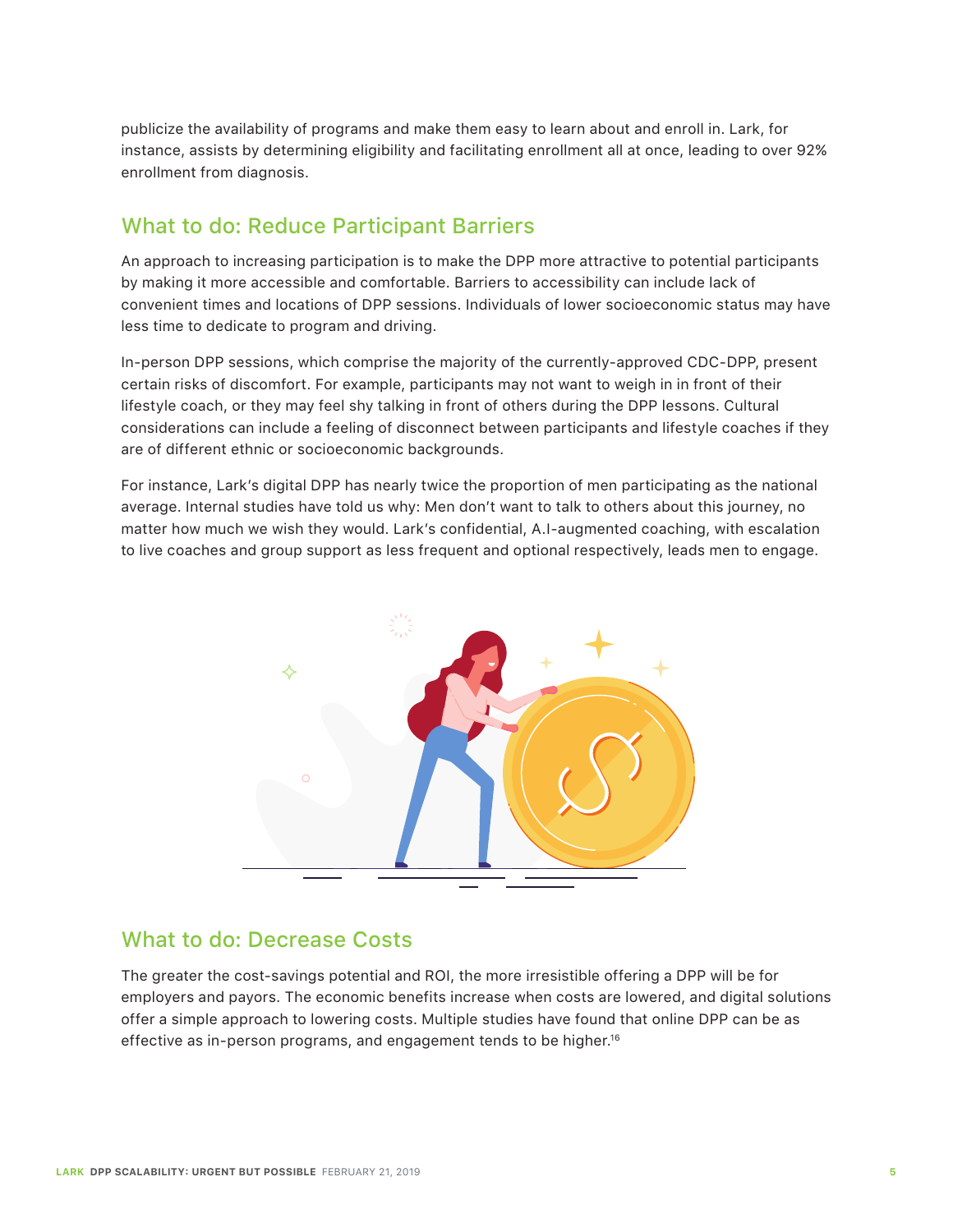publicize the availability of programs and make them easy to learn about and enroll in. Lark, for instance, assists by determining eligibility and facilitating enrollment all at once, leading to over 92% enrollment from diagnosis.

## What to do: Reduce Participant Barriers

An approach to increasing participation is to make the DPP more attractive to potential participants by making it more accessible and comfortable. Barriers to accessibility can include lack of convenient times and locations of DPP sessions. Individuals of lower socioeconomic status may have less time to dedicate to program and driving.

In-person DPP sessions, which comprise the majority of the currently-approved CDC-DPP, present certain risks of discomfort. For example, participants may not want to weigh in in front of their lifestyle coach, or they may feel shy talking in front of others during the DPP lessons. Cultural considerations can include a feeling of disconnect between participants and lifestyle coaches if they are of different ethnic or socioeconomic backgrounds.

For instance, Lark's digital DPP has nearly twice the proportion of men participating as the national average. Internal studies have told us why: Men don't want to talk to others about this journey, no matter how much we wish they would. Lark's confidential, A.I-augmented coaching, with escalation to live coaches and group support as less frequent and optional respectively, leads men to engage.



#### What to do: Decrease Costs

The greater the cost-savings potential and ROI, the more irresistible offering a DPP will be for employers and payors. The economic benefits increase when costs are lowered, and digital solutions offer a simple approach to lowering costs. Multiple studies have found that online DPP can be as effective as in-person programs, and engagement tends to be higher.16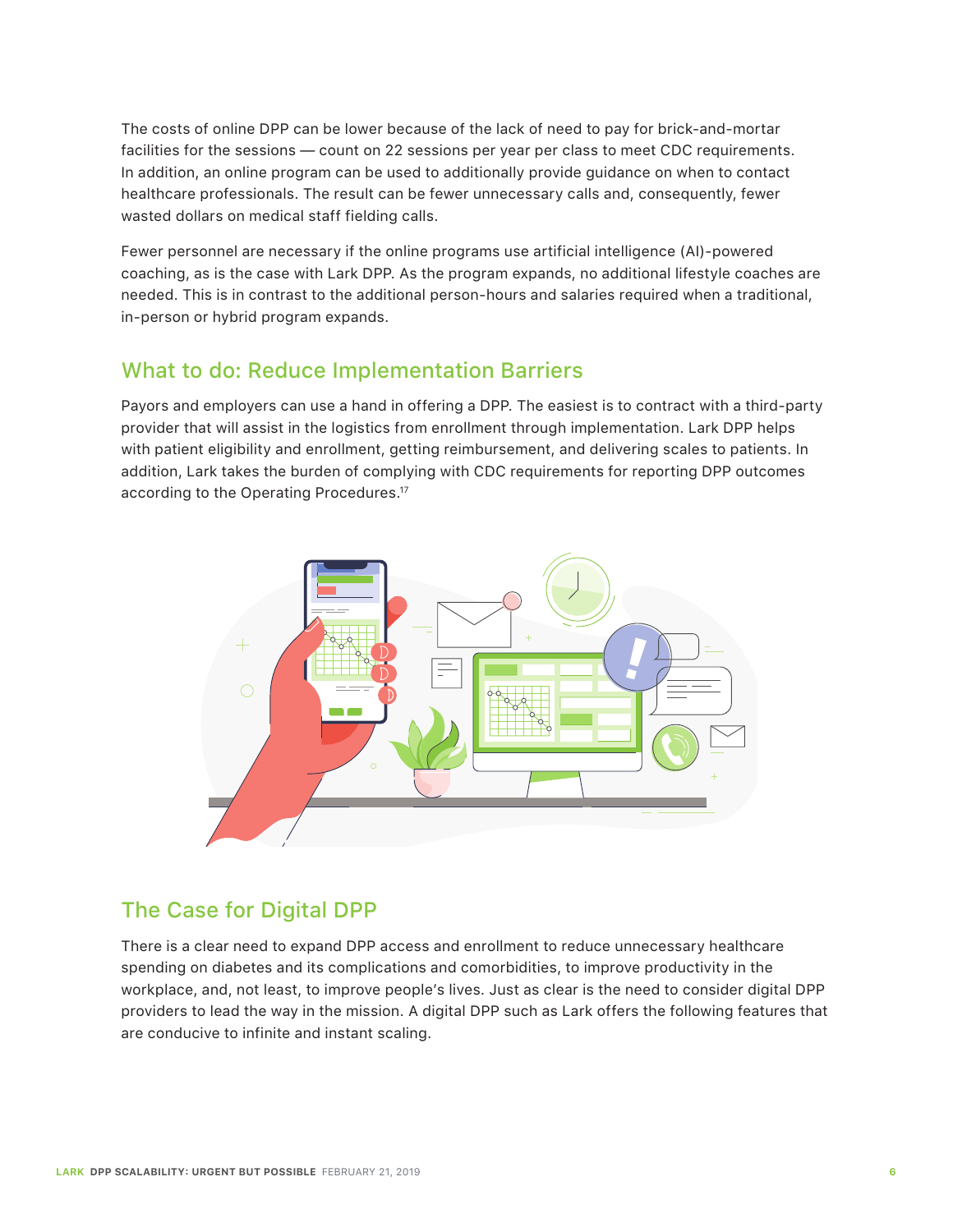The costs of online DPP can be lower because of the lack of need to pay for brick-and-mortar facilities for the sessions — count on 22 sessions per year per class to meet CDC requirements. In addition, an online program can be used to additionally provide guidance on when to contact healthcare professionals. The result can be fewer unnecessary calls and, consequently, fewer wasted dollars on medical staff fielding calls.

Fewer personnel are necessary if the online programs use artificial intelligence (AI)-powered coaching, as is the case with Lark DPP. As the program expands, no additional lifestyle coaches are needed. This is in contrast to the additional person-hours and salaries required when a traditional, in-person or hybrid program expands.

### What to do: Reduce Implementation Barriers

Payors and employers can use a hand in offering a DPP. The easiest is to contract with a third-party provider that will assist in the logistics from enrollment through implementation. Lark DPP helps with patient eligibility and enrollment, getting reimbursement, and delivering scales to patients. In addition, Lark takes the burden of complying with CDC requirements for reporting DPP outcomes according to the Operating Procedures.17



# The Case for Digital DPP

There is a clear need to expand DPP access and enrollment to reduce unnecessary healthcare spending on diabetes and its complications and comorbidities, to improve productivity in the workplace, and, not least, to improve people's lives. Just as clear is the need to consider digital DPP providers to lead the way in the mission. A digital DPP such as Lark offers the following features that are conducive to infinite and instant scaling.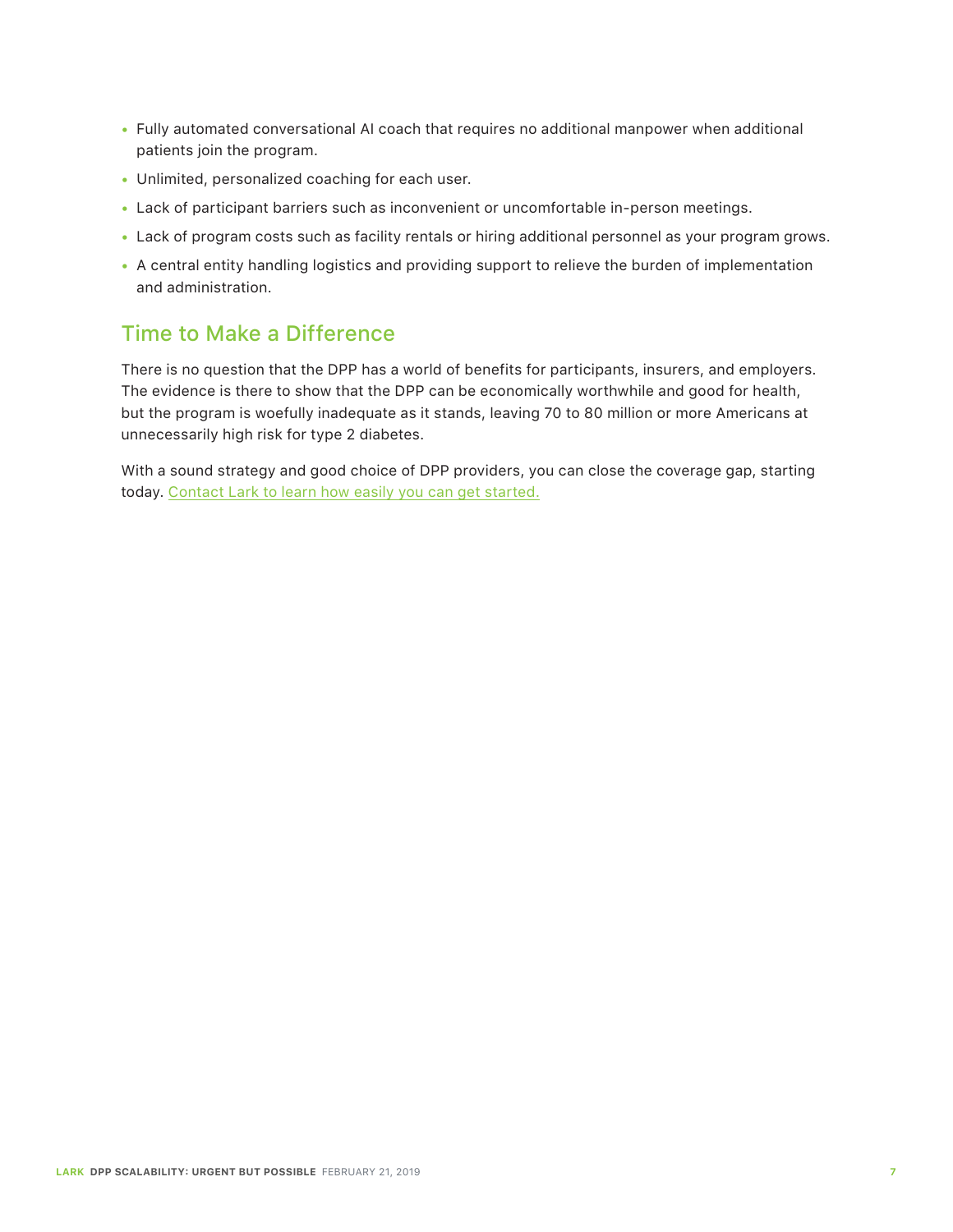- Fully automated conversational AI coach that requires no additional manpower when additional patients join the program.
- Unlimited, personalized coaching for each user.
- Lack of participant barriers such as inconvenient or uncomfortable in-person meetings.
- Lack of program costs such as facility rentals or hiring additional personnel as your program grows.
- A central entity handling logistics and providing support to relieve the burden of implementation and administration.

### Time to Make a Difference

There is no question that the DPP has a world of benefits for participants, insurers, and employers. The evidence is there to show that the DPP can be economically worthwhile and good for health, but the program is woefully inadequate as it stands, leaving 70 to 80 million or more Americans at unnecessarily high risk for type 2 diabetes.

With a sound strategy and good choice of DPP providers, you can close the coverage gap, starting today. Contact Lark to learn how easily you can get started.